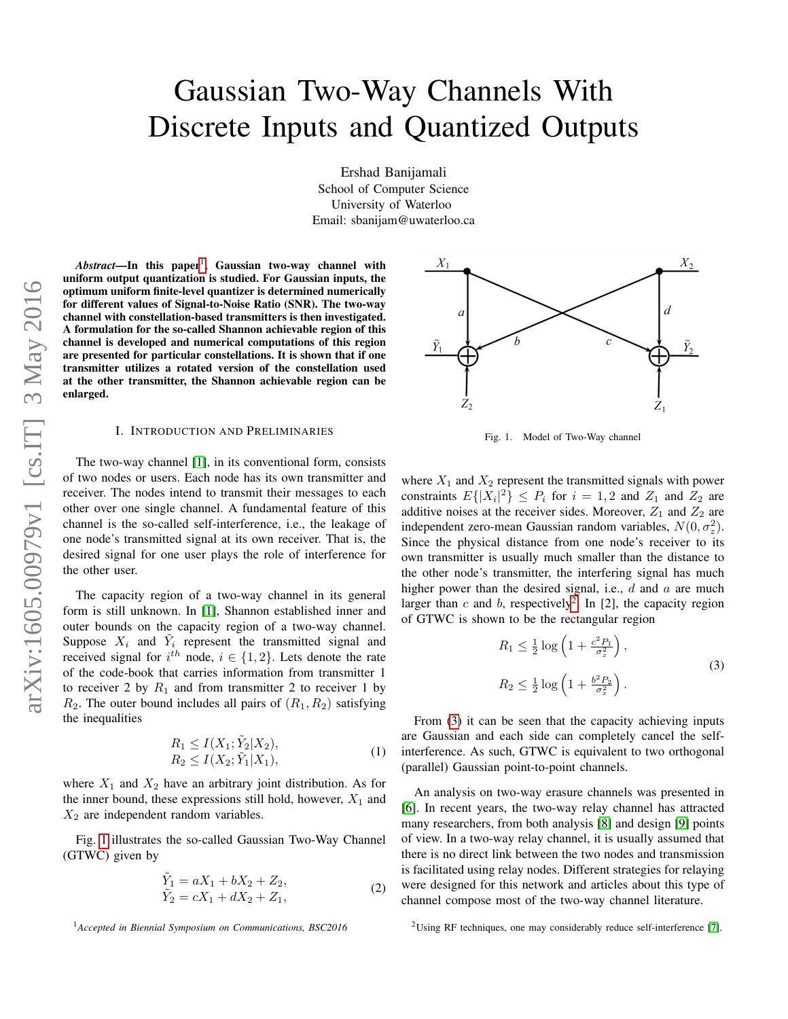# Gaussian Two-Way Channels With Discrete Inputs and Quantized Outputs

Ershad Banijamali School of Computer Science University of Waterloo Email: sbanijam@uwaterloo.ca

Abstract—In this paper<sup>[1](#page-0-0)</sup>, Gaussian two-way channel with uniform output quantization is studied. For Gaussian inputs, the optimum uniform finite-level quantizer is determined numerically for different values of Signal-to-Noise Ratio (SNR). The two-way channel with constellation-based transmitters is then investigated. A formulation for the so-called Shannon achievable region of this channel is developed and numerical computations of this region are presented for particular constellations. It is shown that if one transmitter utilizes a rotated version of the constellation used at the other transmitter, the Shannon achievable region can be enlarged.

# I. INTRODUCTION AND PRELIMINARIES

The two-way channel [\[1\]](#page-4-0), in its conventional form, consists of two nodes or users. Each node has its own transmitter and receiver. The nodes intend to transmit their messages to each other over one single channel. A fundamental feature of this channel is the so-called self-interference, i.e., the leakage of one node's transmitted signal at its own receiver. That is, the desired signal for one user plays the role of interference for the other user.

The capacity region of a two-way channel in its general form is still unknown. In [\[1\]](#page-4-0), Shannon established inner and outer bounds on the capacity region of a two-way channel. Suppose  $X_i$  and  $\tilde{Y}_i$  represent the transmitted signal and received signal for  $i^{th}$  node,  $i \in \{1, 2\}$ . Lets denote the rate of the code-book that carries information from transmitter 1 to receiver 2 by  $R_1$  and from transmitter 2 to receiver 1 by  $R_2$ . The outer bound includes all pairs of  $(R_1, R_2)$  satisfying the inequalities

<span id="page-0-4"></span>
$$
R_1 \le I(X_1; \tilde{Y}_2 | X_2),
$$
  
\n
$$
R_2 \le I(X_2; \tilde{Y}_1 | X_1),
$$
\n(1)

where  $X_1$  and  $X_2$  have an arbitrary joint distribution. As for the inner bound, these expressions still hold, however,  $X_1$  and  $X_2$  are independent random variables.

Fig. [1](#page-0-1) illustrates the so-called Gaussian Two-Way Channel (GTWC) given by

$$
\tilde{Y}_1 = aX_1 + bX_2 + Z_2,\n\tilde{Y}_2 = cX_1 + dX_2 + Z_1,
$$
\n(2)



<span id="page-0-1"></span>Fig. 1. Model of Two-Way channel

where  $X_1$  and  $X_2$  represent the transmitted signals with power constraints  $E\{|X_i|^2\} \leq P_i$  for  $i = 1, 2$  and  $Z_1$  and  $Z_2$  are additive noises at the receiver sides. Moreover,  $Z_1$  and  $Z_2$  are independent zero-mean Gaussian random variables,  $N(0, \sigma_z^2)$ . Since the physical distance from one node's receiver to its own transmitter is usually much smaller than the distance to the other node's transmitter, the interfering signal has much higher power than the desired signal, i.e.,  $d$  and  $a$  are much larger than c and b, respectively<sup>[2](#page-0-2)</sup>. In [2], the capacity region of GTWC is shown to be the rectangular region

<span id="page-0-3"></span>
$$
R_1 \le \frac{1}{2} \log \left( 1 + \frac{c^2 P_1}{\sigma_z^2} \right),
$$
  
\n
$$
R_2 \le \frac{1}{2} \log \left( 1 + \frac{b^2 P_2}{\sigma_z^2} \right).
$$
\n(3)

From [\(3\)](#page-0-3) it can be seen that the capacity achieving inputs are Gaussian and each side can completely cancel the selfinterference. As such, GTWC is equivalent to two orthogonal (parallel) Gaussian point-to-point channels.

An analysis on two-way erasure channels was presented in [\[6\]](#page-4-1). In recent years, the two-way relay channel has attracted many researchers, from both analysis [\[8\]](#page-4-2) and design [\[9\]](#page-4-3) points of view. In a two-way relay channel, it is usually assumed that there is no direct link between the two nodes and transmission is facilitated using relay nodes. Different strategies for relaying were designed for this network and articles about this type of channel compose most of the two-way channel literature.

<span id="page-0-0"></span><sup>1</sup>*Accepted in Biennial Symposium on Communications, BSC2016*

<span id="page-0-2"></span><sup>&</sup>lt;sup>2</sup>Using RF techniques, one may considerably reduce self-interference [\[7\]](#page-4-4).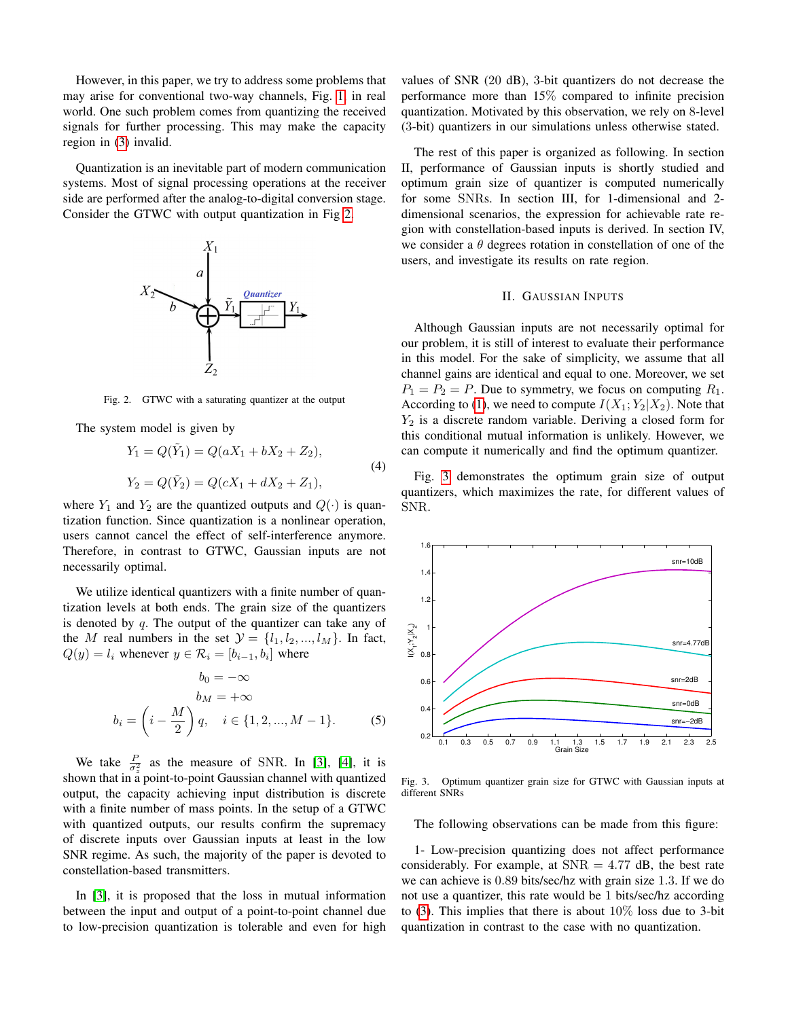However, in this paper, we try to address some problems that may arise for conventional two-way channels, Fig. [1,](#page-0-1) in real world. One such problem comes from quantizing the received signals for further processing. This may make the capacity region in [\(3\)](#page-0-3) invalid.

Quantization is an inevitable part of modern communication systems. Most of signal processing operations at the receiver side are performed after the analog-to-digital conversion stage. Consider the GTWC with output quantization in Fig [2.](#page-1-0)



<span id="page-1-0"></span>Fig. 2. GTWC with a saturating quantizer at the output

The system model is given by

$$
Y_1 = Q(\tilde{Y}_1) = Q(aX_1 + bX_2 + Z_2),
$$
  
\n
$$
Y_2 = Q(\tilde{Y}_2) = Q(cX_1 + dX_2 + Z_1),
$$
\n(4)

where  $Y_1$  and  $Y_2$  are the quantized outputs and  $Q(\cdot)$  is quantization function. Since quantization is a nonlinear operation, users cannot cancel the effect of self-interference anymore. Therefore, in contrast to GTWC, Gaussian inputs are not necessarily optimal.

We utilize identical quantizers with a finite number of quantization levels at both ends. The grain size of the quantizers is denoted by  $q$ . The output of the quantizer can take any of the M real numbers in the set  $\mathcal{Y} = \{l_1, l_2, ..., l_M\}$ . In fact,  $Q(y) = l_i$  whenever  $y \in \mathcal{R}_i = [b_{i-1}, b_i]$  where

$$
b_0 = -\infty
$$
  
\n
$$
b_M = +\infty
$$
  
\n
$$
b_i = \left(i - \frac{M}{2}\right)q, \quad i \in \{1, 2, ..., M - 1\}.
$$
 (5)

We take  $\frac{P}{\sigma_z^2}$  as the measure of SNR. In [\[3\]](#page-4-5), [\[4\]](#page-4-6), it is shown that in a point-to-point Gaussian channel with quantized output, the capacity achieving input distribution is discrete with a finite number of mass points. In the setup of a GTWC with quantized outputs, our results confirm the supremacy of discrete inputs over Gaussian inputs at least in the low SNR regime. As such, the majority of the paper is devoted to constellation-based transmitters.

In [\[3\]](#page-4-5), it is proposed that the loss in mutual information between the input and output of a point-to-point channel due to low-precision quantization is tolerable and even for high

values of SNR (20 dB), 3-bit quantizers do not decrease the performance more than 15% compared to infinite precision quantization. Motivated by this observation, we rely on 8-level (3-bit) quantizers in our simulations unless otherwise stated.

The rest of this paper is organized as following. In section II, performance of Gaussian inputs is shortly studied and optimum grain size of quantizer is computed numerically for some SNRs. In section III, for 1-dimensional and 2 dimensional scenarios, the expression for achievable rate region with constellation-based inputs is derived. In section IV, we consider a  $\theta$  degrees rotation in constellation of one of the users, and investigate its results on rate region.

# II. GAUSSIAN INPUTS

<span id="page-1-2"></span>Although Gaussian inputs are not necessarily optimal for our problem, it is still of interest to evaluate their performance in this model. For the sake of simplicity, we assume that all channel gains are identical and equal to one. Moreover, we set  $P_1 = P_2 = P$ . Due to symmetry, we focus on computing  $R_1$ . According to [\(1\)](#page-0-4), we need to compute  $I(X_1; Y_2 | X_2)$ . Note that  $Y_2$  is a discrete random variable. Deriving a closed form for this conditional mutual information is unlikely. However, we can compute it numerically and find the optimum quantizer.

Fig. [3](#page-1-1) demonstrates the optimum grain size of output quantizers, which maximizes the rate, for different values of SNR.



<span id="page-1-1"></span>Fig. 3. Optimum quantizer grain size for GTWC with Gaussian inputs at different SNRs

The following observations can be made from this figure:

1- Low-precision quantizing does not affect performance considerably. For example, at  $SNR = 4.77$  dB, the best rate we can achieve is 0.89 bits/sec/hz with grain size 1.3. If we do not use a quantizer, this rate would be 1 bits/sec/hz according to [\(3\)](#page-0-3). This implies that there is about  $10\%$  loss due to 3-bit quantization in contrast to the case with no quantization.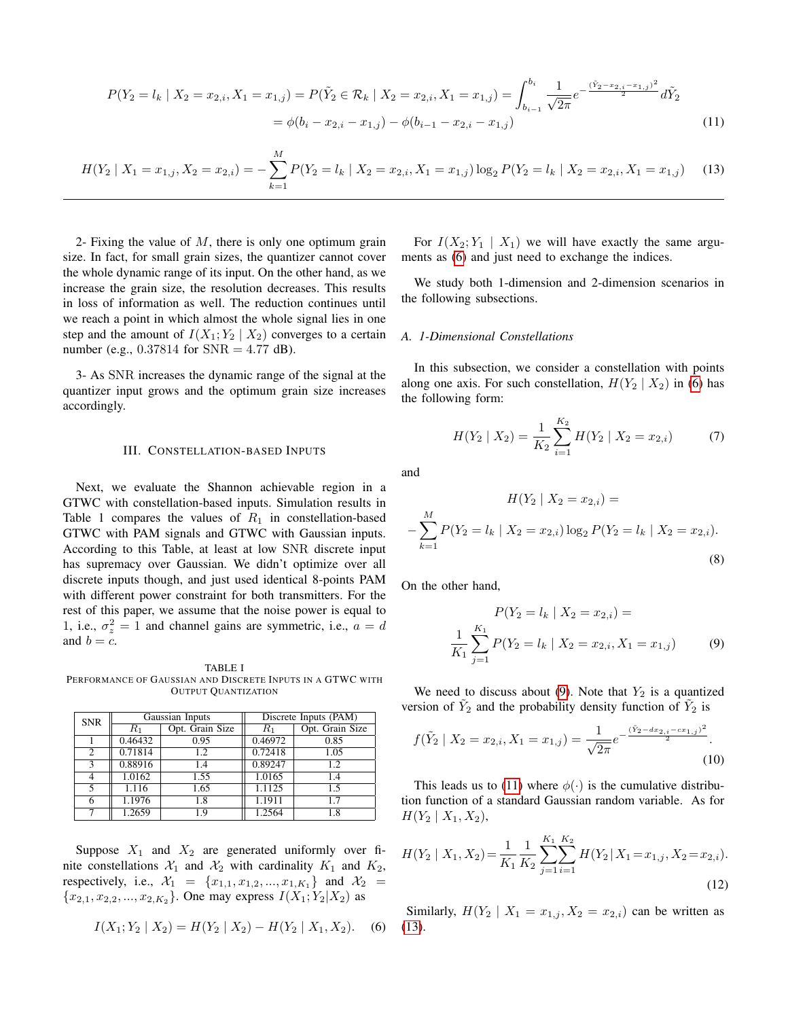$$
P(Y_2 = l_k | X_2 = x_{2,i}, X_1 = x_{1,j}) = P(\tilde{Y}_2 \in \mathcal{R}_k | X_2 = x_{2,i}, X_1 = x_{1,j}) = \int_{b_{i-1}}^{b_i} \frac{1}{\sqrt{2\pi}} e^{-\frac{(\tilde{Y}_2 - x_{2,i} - x_{1,j})^2}{2}} d\tilde{Y}_2
$$
  
=  $\phi(b_i - x_{2,i} - x_{1,j}) - \phi(b_{i-1} - x_{2,i} - x_{1,j})$  (11)

<span id="page-2-2"></span>
$$
H(Y_2 \mid X_1 = x_{1,j}, X_2 = x_{2,i}) = -\sum_{k=1}^{M} P(Y_2 = l_k \mid X_2 = x_{2,i}, X_1 = x_{1,j}) \log_2 P(Y_2 = l_k \mid X_2 = x_{2,i}, X_1 = x_{1,j}) \tag{13}
$$

2- Fixing the value of  $M$ , there is only one optimum grain size. In fact, for small grain sizes, the quantizer cannot cover the whole dynamic range of its input. On the other hand, as we increase the grain size, the resolution decreases. This results in loss of information as well. The reduction continues until we reach a point in which almost the whole signal lies in one step and the amount of  $I(X_1; Y_2 | X_2)$  converges to a certain number (e.g.,  $0.37814$  for  $SNR = 4.77$  dB).

3- As SNR increases the dynamic range of the signal at the quantizer input grows and the optimum grain size increases accordingly.

### III. CONSTELLATION-BASED INPUTS

Next, we evaluate the Shannon achievable region in a GTWC with constellation-based inputs. Simulation results in Table 1 compares the values of  $R_1$  in constellation-based GTWC with PAM signals and GTWC with Gaussian inputs. According to this Table, at least at low SNR discrete input has supremacy over Gaussian. We didn't optimize over all discrete inputs though, and just used identical 8-points PAM with different power constraint for both transmitters. For the rest of this paper, we assume that the noise power is equal to 1, i.e.,  $\sigma_z^2 = 1$  and channel gains are symmetric, i.e.,  $a = d$ and  $b = c$ .

<span id="page-2-0"></span>TABLE I PERFORMANCE OF GAUSSIAN AND DISCRETE INPUTS IN A GTWC WITH OUTPUT QUANTIZATION

| <b>SNR</b>     | Gaussian Inputs |                 | Discrete Inputs (PAM) |                 |
|----------------|-----------------|-----------------|-----------------------|-----------------|
|                | $R_1$           | Opt. Grain Size | $R_1$                 | Opt. Grain Size |
|                | 0.46432         | 0.95            | 0.46972               | 0.85            |
| $\overline{c}$ | 0.71814         | 1.2             | 0.72418               | 1.05            |
| 3              | 0.88916         | 1.4             | 0.89247               | 1.2             |
| 4              | 1.0162          | 1.55            | 1.0165                | 1.4             |
| 5              | 1.116           | 1.65            | 1.1125                | 1.5             |
| 6              | 1.1976          | 1.8             | 1.1911                | 1.7             |
|                | 1.2659          | 1.9             | 1.2564                | 1.8             |

Suppose  $X_1$  and  $X_2$  are generated uniformly over finite constellations  $\mathcal{X}_1$  and  $\mathcal{X}_2$  with cardinality  $K_1$  and  $K_2$ , respectively, i.e.,  $\mathcal{X}_1 = \{x_{1,1}, x_{1,2}, ..., x_{1,K_1}\}\$ and  $\mathcal{X}_2 =$  ${x_{2,1}, x_{2,2}, ..., x_{2,K_2}}$ . One may express  $I(X_1; Y_2|X_2)$  as

$$
I(X_1; Y_2 | X_2) = H(Y_2 | X_2) - H(Y_2 | X_1, X_2). \quad (6)
$$

For  $I(X_2; Y_1 | X_1)$  we will have exactly the same arguments as [\(6\)](#page-2-0) and just need to exchange the indices.

We study both 1-dimension and 2-dimension scenarios in the following subsections.

#### <span id="page-2-1"></span>*A. 1-Dimensional Constellations*

In this subsection, we consider a constellation with points along one axis. For such constellation,  $H(Y_2 | X_2)$  in [\(6\)](#page-2-0) has the following form:

$$
H(Y_2 \mid X_2) = \frac{1}{K_2} \sum_{i=1}^{K_2} H(Y_2 \mid X_2 = x_{2,i}) \tag{7}
$$

and

$$
H(Y_2 | X_2 = x_{2,i}) =
$$
  

$$
-\sum_{k=1}^{M} P(Y_2 = l_k | X_2 = x_{2,i}) \log_2 P(Y_2 = l_k | X_2 = x_{2,i}).
$$
  
(8)

On the other hand,

$$
P(Y_2 = l_k | X_2 = x_{2,i}) =
$$
  

$$
\frac{1}{K_1} \sum_{j=1}^{K_1} P(Y_2 = l_k | X_2 = x_{2,i}, X_1 = x_{1,j})
$$
 (9)

We need to discuss about [\(9\)](#page-2-1). Note that  $Y_2$  is a quantized version of  $\tilde{Y}_2$  and the probability density function of  $\tilde{Y}_2$  is

<span id="page-2-3"></span>
$$
f(\tilde{Y}_2 \mid X_2 = x_{2,i}, X_1 = x_{1,j}) = \frac{1}{\sqrt{2\pi}} e^{-\frac{(\tilde{Y}_2 - dx_{2,i} - cx_{1,j})^2}{2}}.
$$
\n(10)

This leads us to [\(11\)](#page-1-2) where  $\phi(\cdot)$  is the cumulative distribution function of a standard Gaussian random variable. As for  $H(Y_2 | X_1, X_2),$ 

$$
H(Y_2 \mid X_1, X_2) = \frac{1}{K_1} \frac{1}{K_2} \sum_{j=1}^{K_1} \sum_{i=1}^{K_2} H(Y_2 \mid X_1 = x_{1,j}, X_2 = x_{2,i}).
$$
\n(12)

Similarly,  $H(Y_2 | X_1 = x_{1,j}, X_2 = x_{2,i})$  can be written as [\(13\)](#page-2-2).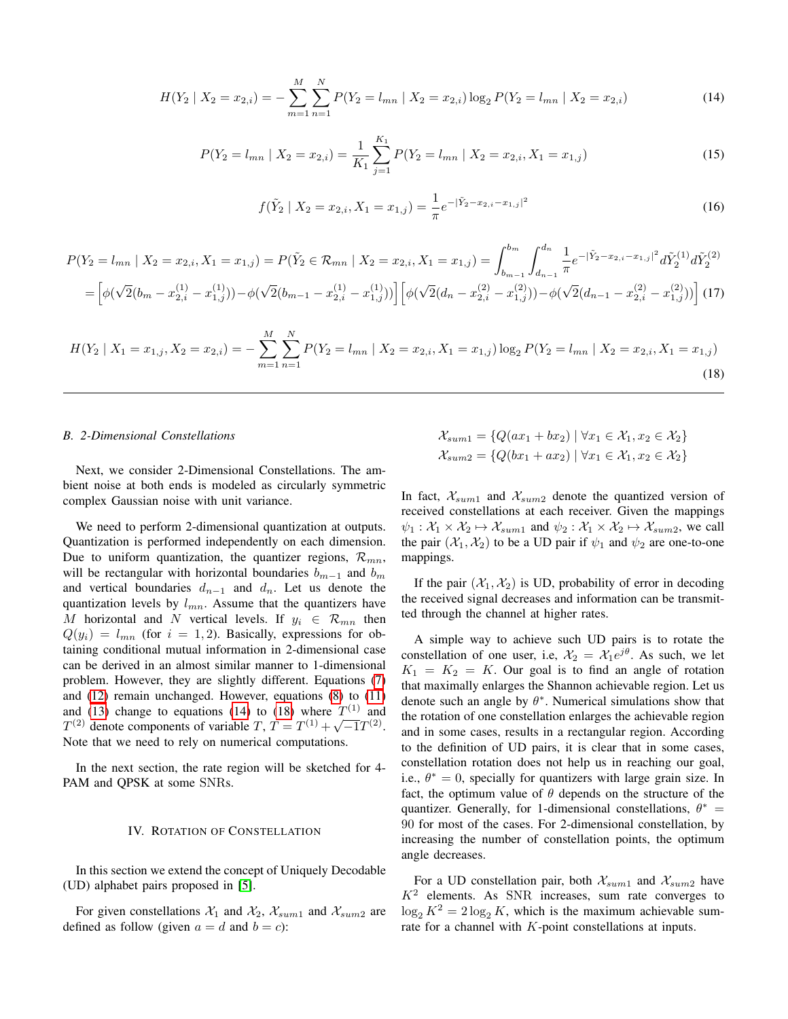$$
H(Y_2 \mid X_2 = x_{2,i}) = -\sum_{m=1}^{M} \sum_{n=1}^{N} P(Y_2 = l_{mn} \mid X_2 = x_{2,i}) \log_2 P(Y_2 = l_{mn} \mid X_2 = x_{2,i})
$$
\n(14)

$$
P(Y_2 = l_{mn} \mid X_2 = x_{2,i}) = \frac{1}{K_1} \sum_{j=1}^{K_1} P(Y_2 = l_{mn} \mid X_2 = x_{2,i}, X_1 = x_{1,j})
$$
\n(15)

$$
f(\tilde{Y}_2 \mid X_2 = x_{2,i}, X_1 = x_{1,j}) = \frac{1}{\pi} e^{-|\tilde{Y}_2 - x_{2,i} - x_{1,j}|^2}
$$
\n(16)

$$
P(Y_2 = l_{mn} \mid X_2 = x_{2,i}, X_1 = x_{1,j}) = P(\tilde{Y}_2 \in \mathcal{R}_{mn} \mid X_2 = x_{2,i}, X_1 = x_{1,j}) = \int_{b_{m-1}}^{b_m} \int_{d_{n-1}}^{d_n} \frac{1}{\pi} e^{-|\tilde{Y}_2 - x_{2,i} - x_{1,j}|^2} d\tilde{Y}_2^{(1)} d\tilde{Y}_2^{(2)}
$$

$$
= \left[ \phi(\sqrt{2}(b_m - x_{2,i}^{(1)} - x_{1,j}^{(1)})) - \phi(\sqrt{2}(b_{m-1} - x_{2,i}^{(1)} - x_{1,j}^{(1)})) \right] \left[ \phi(\sqrt{2}(d_n - x_{2,i}^{(2)} - x_{1,j}^{(2)})) - \phi(\sqrt{2}(d_{n-1} - x_{2,i}^{(2)} - x_{1,j}^{(2)})) \right] (17)
$$

<span id="page-3-1"></span>
$$
H(Y_2 \mid X_1 = x_{1,j}, X_2 = x_{2,i}) = -\sum_{m=1}^{M} \sum_{n=1}^{N} P(Y_2 = l_{mn} \mid X_2 = x_{2,i}, X_1 = x_{1,j}) \log_2 P(Y_2 = l_{mn} \mid X_2 = x_{2,i}, X_1 = x_{1,j})
$$
\n(18)

## <span id="page-3-0"></span>*B. 2-Dimensional Constellations*

Next, we consider 2-Dimensional Constellations. The ambient noise at both ends is modeled as circularly symmetric complex Gaussian noise with unit variance.

We need to perform 2-dimensional quantization at outputs. Quantization is performed independently on each dimension. Due to uniform quantization, the quantizer regions,  $\mathcal{R}_{mn}$ , will be rectangular with horizontal boundaries  $b_{m-1}$  and  $b_m$ and vertical boundaries  $d_{n-1}$  and  $d_n$ . Let us denote the quantization levels by  $l_{mn}$ . Assume that the quantizers have M horizontal and N vertical levels. If  $y_i \in \mathcal{R}_{mn}$  then  $Q(y_i) = l_{mn}$  (for  $i = 1, 2$ ). Basically, expressions for obtaining conditional mutual information in 2-dimensional case can be derived in an almost similar manner to 1-dimensional problem. However, they are slightly different. Equations [\(7\)](#page-2-1) and [\(12\)](#page-2-3) remain unchanged. However, equations [\(8\)](#page-2-1) to [\(11\)](#page-1-2) and [\(13\)](#page-2-2) change to equations [\(14\)](#page-3-0) to [\(18\)](#page-3-1) where  $T^{(1)}$  and  $T^{(2)}$  denote components of variable T,  $T = T^{(1)} + \sqrt{-1}T^{(2)}$ . Note that we need to rely on numerical computations.

In the next section, the rate region will be sketched for 4- PAM and QPSK at some SNRs.

### IV. ROTATION OF CONSTELLATION

In this section we extend the concept of Uniquely Decodable (UD) alphabet pairs proposed in [\[5\]](#page-4-7).

For given constellations  $\mathcal{X}_1$  and  $\mathcal{X}_2$ ,  $\mathcal{X}_{sum1}$  and  $\mathcal{X}_{sum2}$  are defined as follow (given  $a = d$  and  $b = c$ ):

$$
\mathcal{X}_{sum1} = \{Q(ax_1 + bx_2) \mid \forall x_1 \in \mathcal{X}_1, x_2 \in \mathcal{X}_2\}
$$
  

$$
\mathcal{X}_{sum2} = \{Q(bx_1 + ax_2) \mid \forall x_1 \in \mathcal{X}_1, x_2 \in \mathcal{X}_2\}
$$

In fact,  $\mathcal{X}_{sum1}$  and  $\mathcal{X}_{sum2}$  denote the quantized version of received constellations at each receiver. Given the mappings  $\psi_1 : \mathcal{X}_1 \times \mathcal{X}_2 \mapsto \mathcal{X}_{sum1}$  and  $\psi_2 : \mathcal{X}_1 \times \mathcal{X}_2 \mapsto \mathcal{X}_{sum2}$ , we call the pair  $(\mathcal{X}_1, \mathcal{X}_2)$  to be a UD pair if  $\psi_1$  and  $\psi_2$  are one-to-one mappings.

If the pair  $(\mathcal{X}_1, \mathcal{X}_2)$  is UD, probability of error in decoding the received signal decreases and information can be transmitted through the channel at higher rates.

A simple way to achieve such UD pairs is to rotate the constellation of one user, i.e,  $\mathcal{X}_2 = \mathcal{X}_1 e^{j\theta}$ . As such, we let  $K_1 = K_2 = K$ . Our goal is to find an angle of rotation that maximally enlarges the Shannon achievable region. Let us denote such an angle by  $\theta^*$ . Numerical simulations show that the rotation of one constellation enlarges the achievable region and in some cases, results in a rectangular region. According to the definition of UD pairs, it is clear that in some cases, constellation rotation does not help us in reaching our goal, i.e.,  $\theta^* = 0$ , specially for quantizers with large grain size. In fact, the optimum value of  $\theta$  depends on the structure of the quantizer. Generally, for 1-dimensional constellations,  $\theta^* =$ 90 for most of the cases. For 2-dimensional constellation, by increasing the number of constellation points, the optimum angle decreases.

For a UD constellation pair, both  $\mathcal{X}_{sum1}$  and  $\mathcal{X}_{sum2}$  have  $K<sup>2</sup>$  elements. As SNR increases, sum rate converges to  $\log_2 K^2 = 2 \log_2 K$ , which is the maximum achievable sumrate for a channel with K-point constellations at inputs.